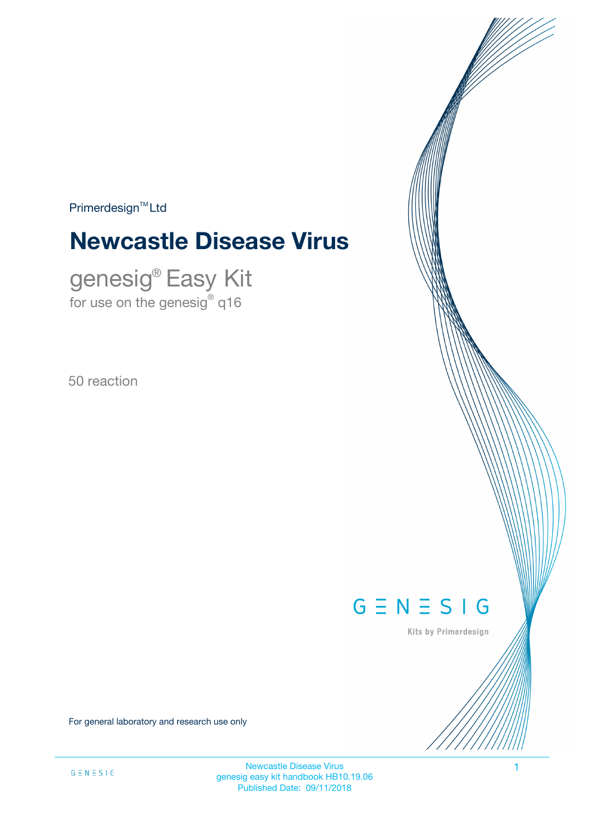$Primerdesign<sup>™</sup>Ltd$ 

# **Newcastle Disease Virus**

genesig® Easy Kit for use on the genesig $^\circ$  q16

50 reaction

# $G \equiv N \equiv S \mid G$

Kits by Primerdesign

For general laboratory and research use only

Newcastle Disease Virus 1 genesig easy kit handbook HB10.19.06 Published Date: 09/11/2018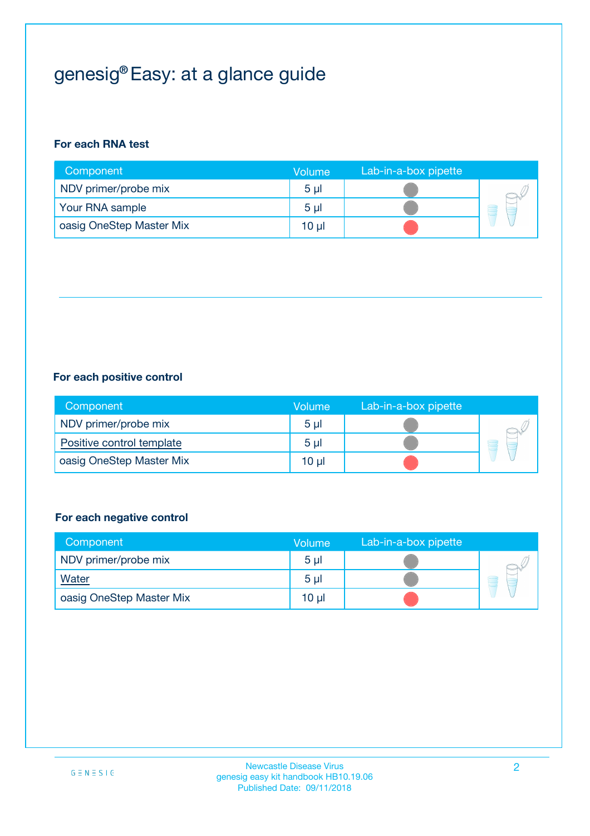## genesig® Easy: at a glance guide

#### **For each RNA test**

| Component                | <b>Volume</b>  | Lab-in-a-box pipette |  |
|--------------------------|----------------|----------------------|--|
| NDV primer/probe mix     | 5 <sub>µ</sub> |                      |  |
| Your RNA sample          | 5 <sub>µ</sub> |                      |  |
| oasig OneStep Master Mix | 10 µl          |                      |  |

#### **For each positive control**

| Component                 | Volume         | Lab-in-a-box pipette |  |
|---------------------------|----------------|----------------------|--|
| NDV primer/probe mix      | 5 <sub>µ</sub> |                      |  |
| Positive control template | 5 <sub>µ</sub> |                      |  |
| oasig OneStep Master Mix  | 10 µl          |                      |  |

#### **For each negative control**

| Component                | Volume         | Lab-in-a-box pipette |   |
|--------------------------|----------------|----------------------|---|
| NDV primer/probe mix     | 5 <sub>µ</sub> |                      |   |
| <b>Water</b>             | 5 <sub>µ</sub> |                      | - |
| oasig OneStep Master Mix | 10 µl          |                      |   |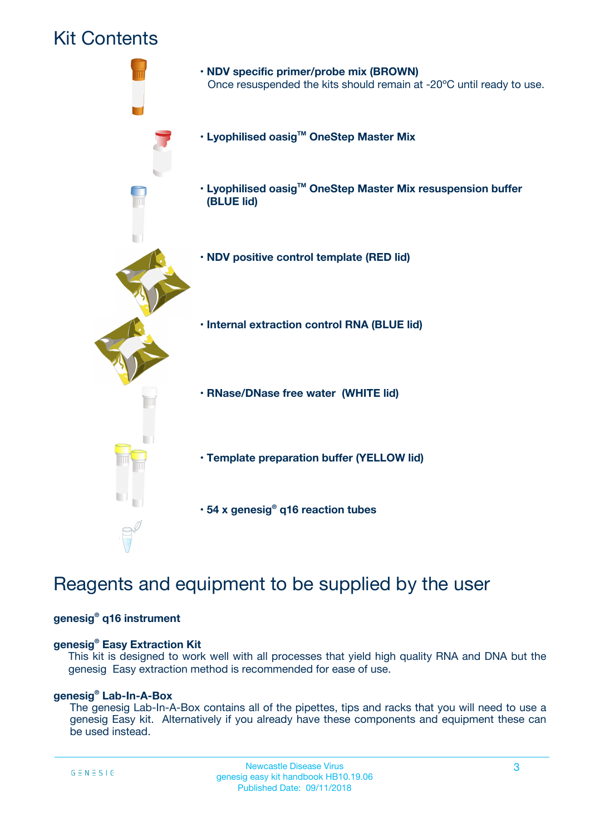### Kit Contents



## Reagents and equipment to be supplied by the user

#### **genesig® q16 instrument**

#### **genesig® Easy Extraction Kit**

This kit is designed to work well with all processes that yield high quality RNA and DNA but the genesig Easy extraction method is recommended for ease of use.

#### **genesig® Lab-In-A-Box**

The genesig Lab-In-A-Box contains all of the pipettes, tips and racks that you will need to use a genesig Easy kit. Alternatively if you already have these components and equipment these can be used instead.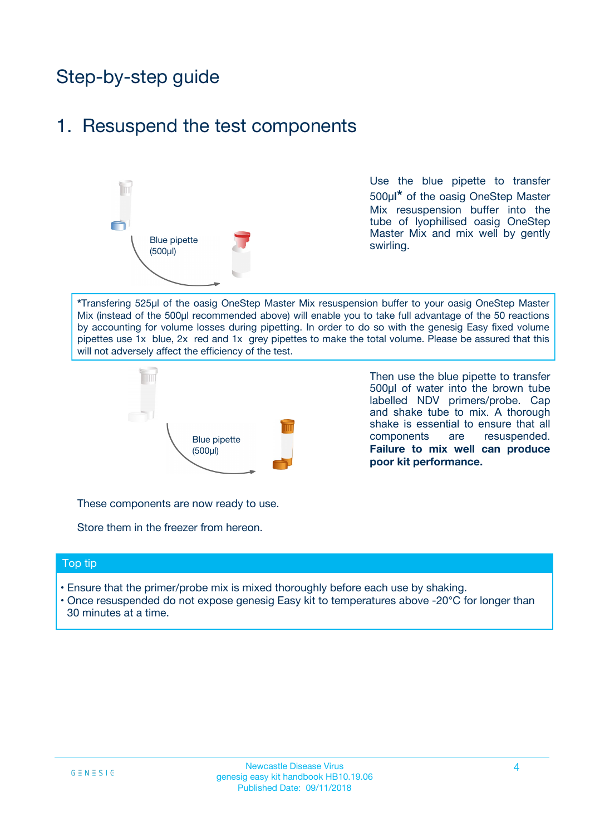## Step-by-step guide

### 1. Resuspend the test components



Use the blue pipette to transfer 500µ**l\*** of the oasig OneStep Master Mix resuspension buffer into the tube of lyophilised oasig OneStep Master Mix and mix well by gently swirling.

**\***Transfering 525µl of the oasig OneStep Master Mix resuspension buffer to your oasig OneStep Master Mix (instead of the 500µl recommended above) will enable you to take full advantage of the 50 reactions by accounting for volume losses during pipetting. In order to do so with the genesig Easy fixed volume pipettes use 1x blue, 2x red and 1x grey pipettes to make the total volume. Please be assured that this will not adversely affect the efficiency of the test.



Then use the blue pipette to transfer 500µl of water into the brown tube labelled NDV primers/probe. Cap and shake tube to mix. A thorough shake is essential to ensure that all components are resuspended. **Failure to mix well can produce poor kit performance.**

These components are now ready to use.

Store them in the freezer from hereon.

#### Top tip

- Ensure that the primer/probe mix is mixed thoroughly before each use by shaking.
- Once resuspended do not expose genesig Easy kit to temperatures above -20°C for longer than 30 minutes at a time.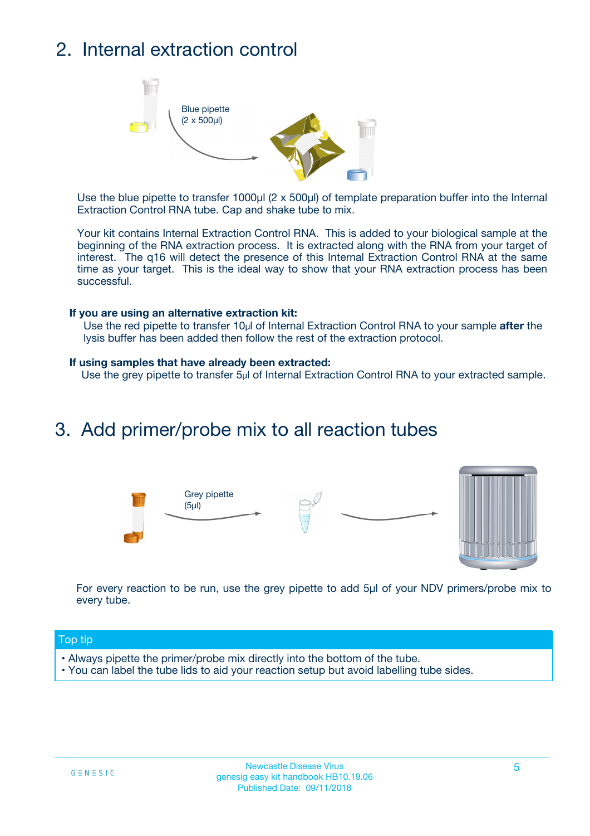## 2. Internal extraction control



Use the blue pipette to transfer 1000µl (2 x 500µl) of template preparation buffer into the Internal Extraction Control RNA tube. Cap and shake tube to mix.

Your kit contains Internal Extraction Control RNA. This is added to your biological sample at the beginning of the RNA extraction process. It is extracted along with the RNA from your target of interest. The q16 will detect the presence of this Internal Extraction Control RNA at the same time as your target. This is the ideal way to show that your RNA extraction process has been successful.

#### **If you are using an alternative extraction kit:**

Use the red pipette to transfer 10µl of Internal Extraction Control RNA to your sample **after** the lysis buffer has been added then follow the rest of the extraction protocol.

#### **If using samples that have already been extracted:**

Use the grey pipette to transfer 5µl of Internal Extraction Control RNA to your extracted sample.

### 3. Add primer/probe mix to all reaction tubes





For every reaction to be run, use the grey pipette to add 5µl of your NDV primers/probe mix to every tube.

#### Top tip

- Always pipette the primer/probe mix directly into the bottom of the tube.
- You can label the tube lids to aid your reaction setup but avoid labelling tube sides.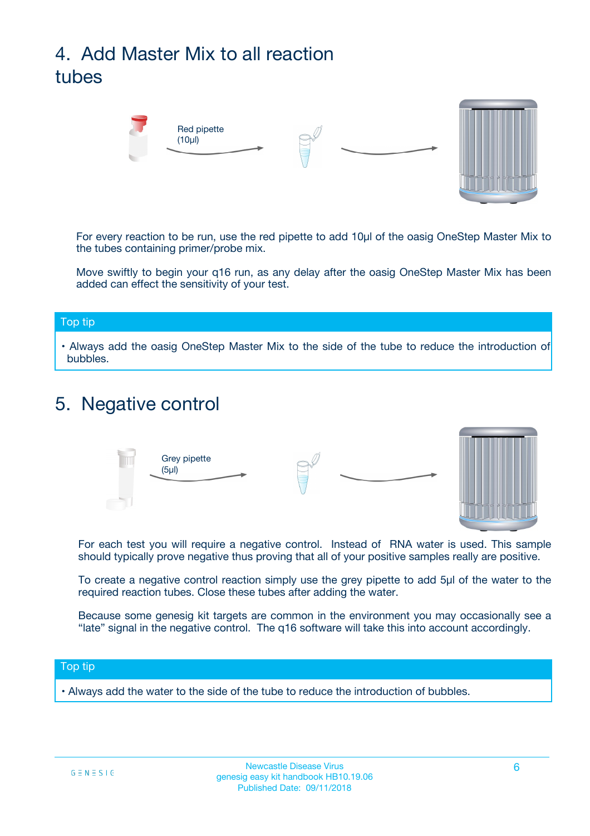## 4. Add Master Mix to all reaction tubes



For every reaction to be run, use the red pipette to add 10µl of the oasig OneStep Master Mix to the tubes containing primer/probe mix.

Move swiftly to begin your q16 run, as any delay after the oasig OneStep Master Mix has been added can effect the sensitivity of your test.

#### Top tip

**•** Always add the oasig OneStep Master Mix to the side of the tube to reduce the introduction of bubbles.

### 5. Negative control



For each test you will require a negative control. Instead of RNA water is used. This sample should typically prove negative thus proving that all of your positive samples really are positive.

To create a negative control reaction simply use the grey pipette to add 5µl of the water to the required reaction tubes. Close these tubes after adding the water.

Because some genesig kit targets are common in the environment you may occasionally see a "late" signal in the negative control. The q16 software will take this into account accordingly.

#### Top tip

**•** Always add the water to the side of the tube to reduce the introduction of bubbles.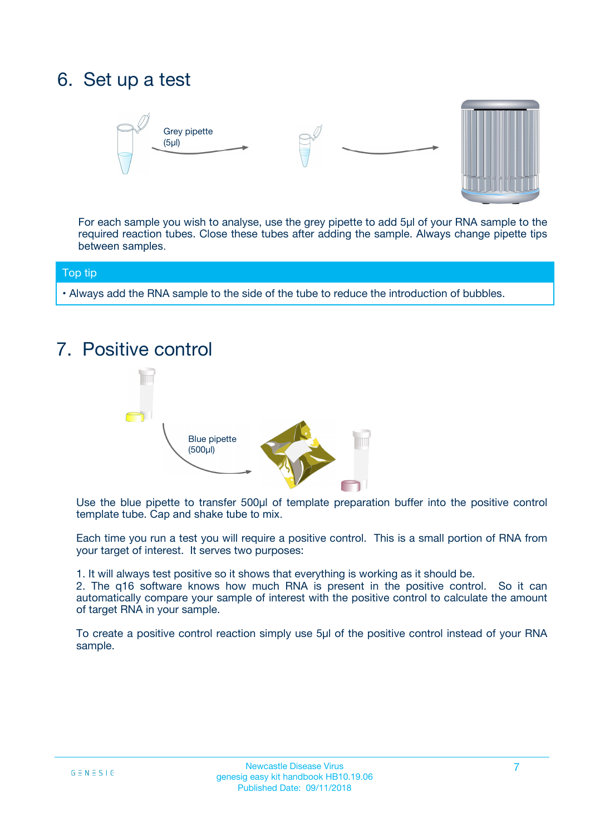## 6. Set up a test





For each sample you wish to analyse, use the grey pipette to add 5µl of your RNA sample to the required reaction tubes. Close these tubes after adding the sample. Always change pipette tips between samples.

#### Top tip

**•** Always add the RNA sample to the side of the tube to reduce the introduction of bubbles.

## 7. Positive control



Use the blue pipette to transfer 500µl of template preparation buffer into the positive control template tube. Cap and shake tube to mix.

Each time you run a test you will require a positive control. This is a small portion of RNA from your target of interest. It serves two purposes:

1. It will always test positive so it shows that everything is working as it should be.

2. The q16 software knows how much RNA is present in the positive control. So it can automatically compare your sample of interest with the positive control to calculate the amount of target RNA in your sample.

To create a positive control reaction simply use 5µl of the positive control instead of your RNA sample.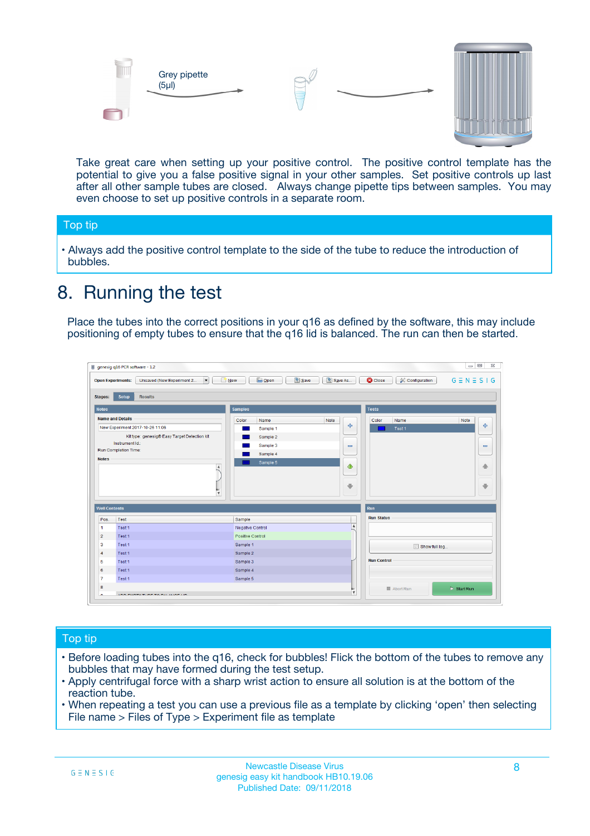



Take great care when setting up your positive control. The positive control template has the potential to give you a false positive signal in your other samples. Set positive controls up last after all other sample tubes are closed. Always change pipette tips between samples. You may even choose to set up positive controls in a separate room.

#### Top tip

**•** Always add the positive control template to the side of the tube to reduce the introduction of bubbles.

## 8. Running the test

Place the tubes into the correct positions in your q16 as defined by the software, this may include positioning of empty tubes to ensure that the q16 lid is balanced. The run can then be started.

|                         | genesig q16 PCR software - 1.2<br><b>Open Experiments:</b><br>Unsaved (New Experiment 2<br>$\blacktriangledown$                                                                                      | <b>E</b> Open<br>Save<br>$\sqrt{2}$ New                                   | $\Box$<br>Save As<br>$G \equiv N \equiv S \mid G$<br><b>B</b> Close<br><b>X</b> Configuration                    |
|-------------------------|------------------------------------------------------------------------------------------------------------------------------------------------------------------------------------------------------|---------------------------------------------------------------------------|------------------------------------------------------------------------------------------------------------------|
| Stages:<br><b>Notes</b> | Setup<br><b>Results</b>                                                                                                                                                                              | <b>Samples</b>                                                            |                                                                                                                  |
| <b>Notes</b>            | <b>Name and Details</b><br>New Experiment 2017-10-26 11:06<br>Kit type: genesig® Easy Target Detection kit<br>Instrument Id.:<br>Run Completion Time:<br>$\blacktriangle$<br>$\overline{\mathbf{v}}$ | Color<br>Name<br>Sample 1<br>Sample 2<br>Sample 3<br>Sample 4<br>Sample 5 | <b>Tests</b><br>Note<br>Color<br>Note<br>Name<br>على<br>4<br>Test 1<br>$\equiv$<br>$\equiv$<br>一个<br>借<br>÷<br>⊕ |
| <b>Well Contents</b>    |                                                                                                                                                                                                      |                                                                           | Run                                                                                                              |
| Pos.                    | Test                                                                                                                                                                                                 | Sample                                                                    | <b>Run Status</b>                                                                                                |
| $\blacktriangleleft$    | Test 1                                                                                                                                                                                               | Negative Control                                                          | $\blacktriangle$                                                                                                 |
| $\overline{2}$          | Test 1                                                                                                                                                                                               | Positive Control                                                          |                                                                                                                  |
| 3                       | Test 1                                                                                                                                                                                               | Sample 1                                                                  | Show full log                                                                                                    |
| $\overline{4}$          | Test 1                                                                                                                                                                                               | Sample 2                                                                  |                                                                                                                  |
| 5                       | Test 1                                                                                                                                                                                               | Sample 3                                                                  | <b>Run Control</b>                                                                                               |
| 6                       | Test <sub>1</sub>                                                                                                                                                                                    | Sample 4                                                                  |                                                                                                                  |
| $\overline{7}$          | Test 1                                                                                                                                                                                               | Sample 5                                                                  |                                                                                                                  |
| 8                       |                                                                                                                                                                                                      |                                                                           | $\triangleright$ Start Run<br>■ Abort Run                                                                        |
|                         |                                                                                                                                                                                                      |                                                                           | $\overline{\mathbf{v}}$                                                                                          |

#### Top tip

- Before loading tubes into the q16, check for bubbles! Flick the bottom of the tubes to remove any bubbles that may have formed during the test setup.
- Apply centrifugal force with a sharp wrist action to ensure all solution is at the bottom of the reaction tube.
- When repeating a test you can use a previous file as a template by clicking 'open' then selecting File name > Files of Type > Experiment file as template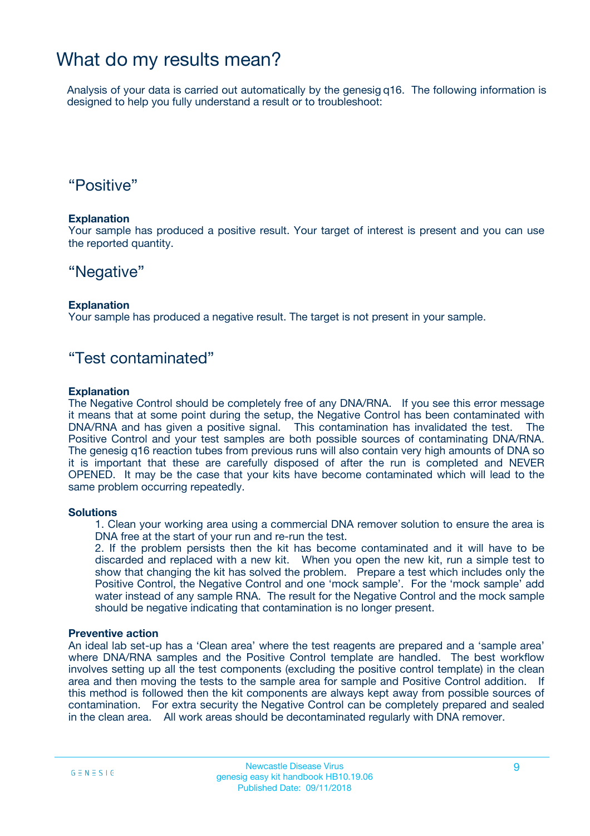### What do my results mean?

Analysis of your data is carried out automatically by the genesig q16. The following information is designed to help you fully understand a result or to troubleshoot:

### "Positive"

#### **Explanation**

Your sample has produced a positive result. Your target of interest is present and you can use the reported quantity.

### "Negative"

#### **Explanation**

Your sample has produced a negative result. The target is not present in your sample.

### "Test contaminated"

#### **Explanation**

The Negative Control should be completely free of any DNA/RNA. If you see this error message it means that at some point during the setup, the Negative Control has been contaminated with DNA/RNA and has given a positive signal. This contamination has invalidated the test. The Positive Control and your test samples are both possible sources of contaminating DNA/RNA. The genesig q16 reaction tubes from previous runs will also contain very high amounts of DNA so it is important that these are carefully disposed of after the run is completed and NEVER OPENED. It may be the case that your kits have become contaminated which will lead to the same problem occurring repeatedly.

#### **Solutions**

1. Clean your working area using a commercial DNA remover solution to ensure the area is DNA free at the start of your run and re-run the test.

2. If the problem persists then the kit has become contaminated and it will have to be discarded and replaced with a new kit. When you open the new kit, run a simple test to show that changing the kit has solved the problem. Prepare a test which includes only the Positive Control, the Negative Control and one 'mock sample'. For the 'mock sample' add water instead of any sample RNA. The result for the Negative Control and the mock sample should be negative indicating that contamination is no longer present.

#### **Preventive action**

An ideal lab set-up has a 'Clean area' where the test reagents are prepared and a 'sample area' where DNA/RNA samples and the Positive Control template are handled. The best workflow involves setting up all the test components (excluding the positive control template) in the clean area and then moving the tests to the sample area for sample and Positive Control addition. If this method is followed then the kit components are always kept away from possible sources of contamination. For extra security the Negative Control can be completely prepared and sealed in the clean area. All work areas should be decontaminated regularly with DNA remover.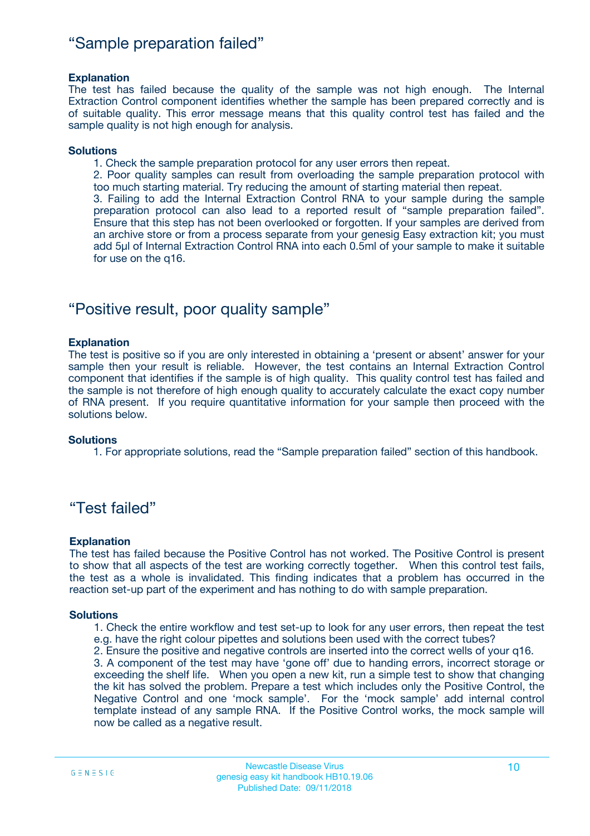### "Sample preparation failed"

#### **Explanation**

The test has failed because the quality of the sample was not high enough. The Internal Extraction Control component identifies whether the sample has been prepared correctly and is of suitable quality. This error message means that this quality control test has failed and the sample quality is not high enough for analysis.

#### **Solutions**

1. Check the sample preparation protocol for any user errors then repeat.

2. Poor quality samples can result from overloading the sample preparation protocol with too much starting material. Try reducing the amount of starting material then repeat.

3. Failing to add the Internal Extraction Control RNA to your sample during the sample preparation protocol can also lead to a reported result of "sample preparation failed". Ensure that this step has not been overlooked or forgotten. If your samples are derived from an archive store or from a process separate from your genesig Easy extraction kit; you must add 5µl of Internal Extraction Control RNA into each 0.5ml of your sample to make it suitable for use on the q16.

### "Positive result, poor quality sample"

#### **Explanation**

The test is positive so if you are only interested in obtaining a 'present or absent' answer for your sample then your result is reliable. However, the test contains an Internal Extraction Control component that identifies if the sample is of high quality. This quality control test has failed and the sample is not therefore of high enough quality to accurately calculate the exact copy number of RNA present. If you require quantitative information for your sample then proceed with the solutions below.

#### **Solutions**

1. For appropriate solutions, read the "Sample preparation failed" section of this handbook.

### "Test failed"

#### **Explanation**

The test has failed because the Positive Control has not worked. The Positive Control is present to show that all aspects of the test are working correctly together. When this control test fails, the test as a whole is invalidated. This finding indicates that a problem has occurred in the reaction set-up part of the experiment and has nothing to do with sample preparation.

#### **Solutions**

- 1. Check the entire workflow and test set-up to look for any user errors, then repeat the test e.g. have the right colour pipettes and solutions been used with the correct tubes?
- 2. Ensure the positive and negative controls are inserted into the correct wells of your q16.

3. A component of the test may have 'gone off' due to handing errors, incorrect storage or exceeding the shelf life. When you open a new kit, run a simple test to show that changing the kit has solved the problem. Prepare a test which includes only the Positive Control, the Negative Control and one 'mock sample'. For the 'mock sample' add internal control template instead of any sample RNA. If the Positive Control works, the mock sample will now be called as a negative result.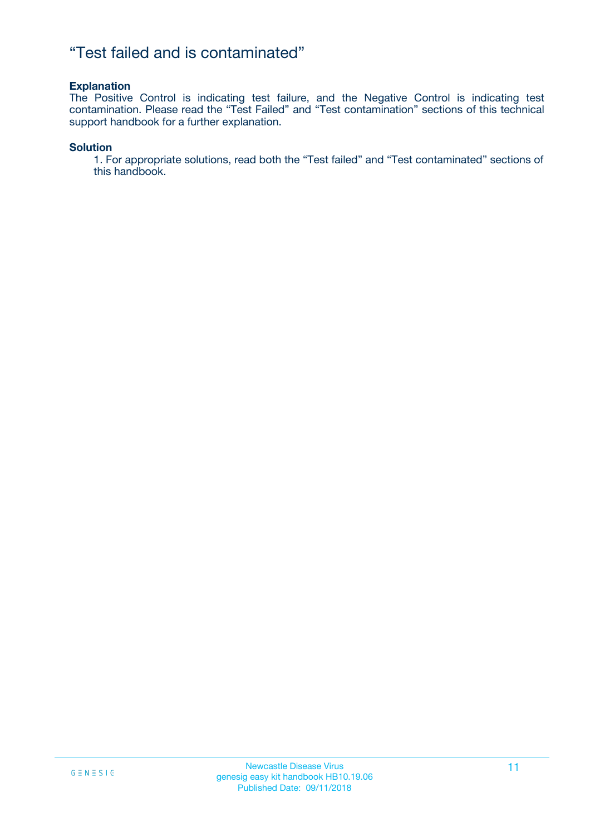### "Test failed and is contaminated"

#### **Explanation**

The Positive Control is indicating test failure, and the Negative Control is indicating test contamination. Please read the "Test Failed" and "Test contamination" sections of this technical support handbook for a further explanation.

#### **Solution**

1. For appropriate solutions, read both the "Test failed" and "Test contaminated" sections of this handbook.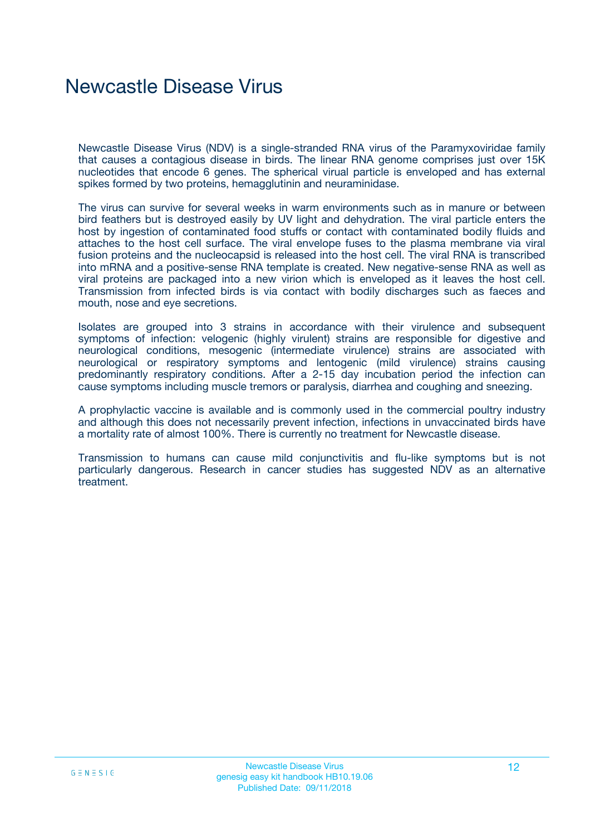## Newcastle Disease Virus

Newcastle Disease Virus (NDV) is a single-stranded RNA virus of the Paramyxoviridae family that causes a contagious disease in birds. The linear RNA genome comprises just over 15K nucleotides that encode 6 genes. The spherical virual particle is enveloped and has external spikes formed by two proteins, hemagglutinin and neuraminidase.

The virus can survive for several weeks in warm environments such as in manure or between bird feathers but is destroyed easily by UV light and dehydration. The viral particle enters the host by ingestion of contaminated food stuffs or contact with contaminated bodily fluids and attaches to the host cell surface. The viral envelope fuses to the plasma membrane via viral fusion proteins and the nucleocapsid is released into the host cell. The viral RNA is transcribed into mRNA and a positive-sense RNA template is created. New negative-sense RNA as well as viral proteins are packaged into a new virion which is enveloped as it leaves the host cell. Transmission from infected birds is via contact with bodily discharges such as faeces and mouth, nose and eye secretions.

Isolates are grouped into 3 strains in accordance with their virulence and subsequent symptoms of infection: velogenic (highly virulent) strains are responsible for digestive and neurological conditions, mesogenic (intermediate virulence) strains are associated with neurological or respiratory symptoms and lentogenic (mild virulence) strains causing predominantly respiratory conditions. After a 2-15 day incubation period the infection can cause symptoms including muscle tremors or paralysis, diarrhea and coughing and sneezing.

A prophylactic vaccine is available and is commonly used in the commercial poultry industry and although this does not necessarily prevent infection, infections in unvaccinated birds have a mortality rate of almost 100%. There is currently no treatment for Newcastle disease.

Transmission to humans can cause mild conjunctivitis and flu-like symptoms but is not particularly dangerous. Research in cancer studies has suggested NDV as an alternative treatment.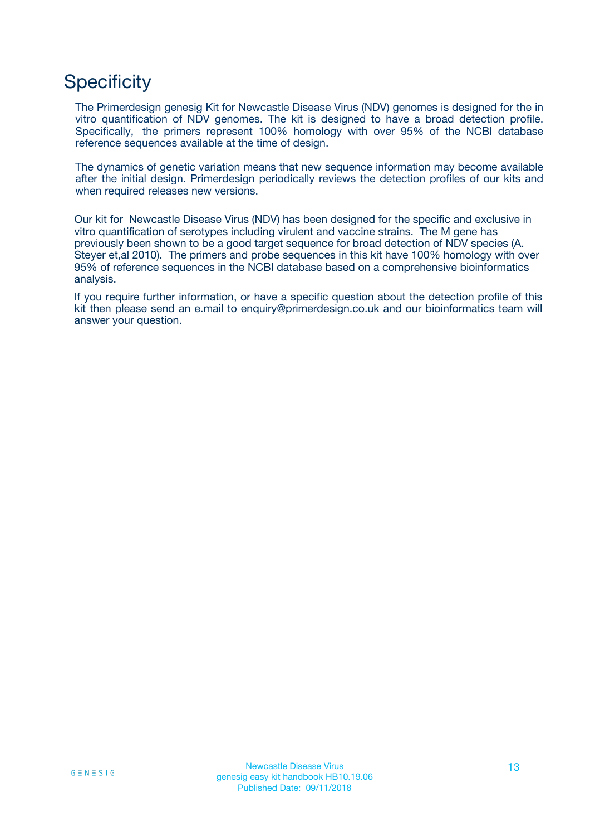## **Specificity**

The Primerdesign genesig Kit for Newcastle Disease Virus (NDV) genomes is designed for the in vitro quantification of NDV genomes. The kit is designed to have a broad detection profile. Specifically, the primers represent 100% homology with over 95% of the NCBI database reference sequences available at the time of design.

The dynamics of genetic variation means that new sequence information may become available after the initial design. Primerdesign periodically reviews the detection profiles of our kits and when required releases new versions.

Our kit for Newcastle Disease Virus (NDV) has been designed for the specific and exclusive in vitro quantification of serotypes including virulent and vaccine strains. The M gene has previously been shown to be a good target sequence for broad detection of NDV species (A. Steyer et,al 2010). The primers and probe sequences in this kit have 100% homology with over 95% of reference sequences in the NCBI database based on a comprehensive bioinformatics analysis.

If you require further information, or have a specific question about the detection profile of this kit then please send an e.mail to enquiry@primerdesign.co.uk and our bioinformatics team will answer your question.